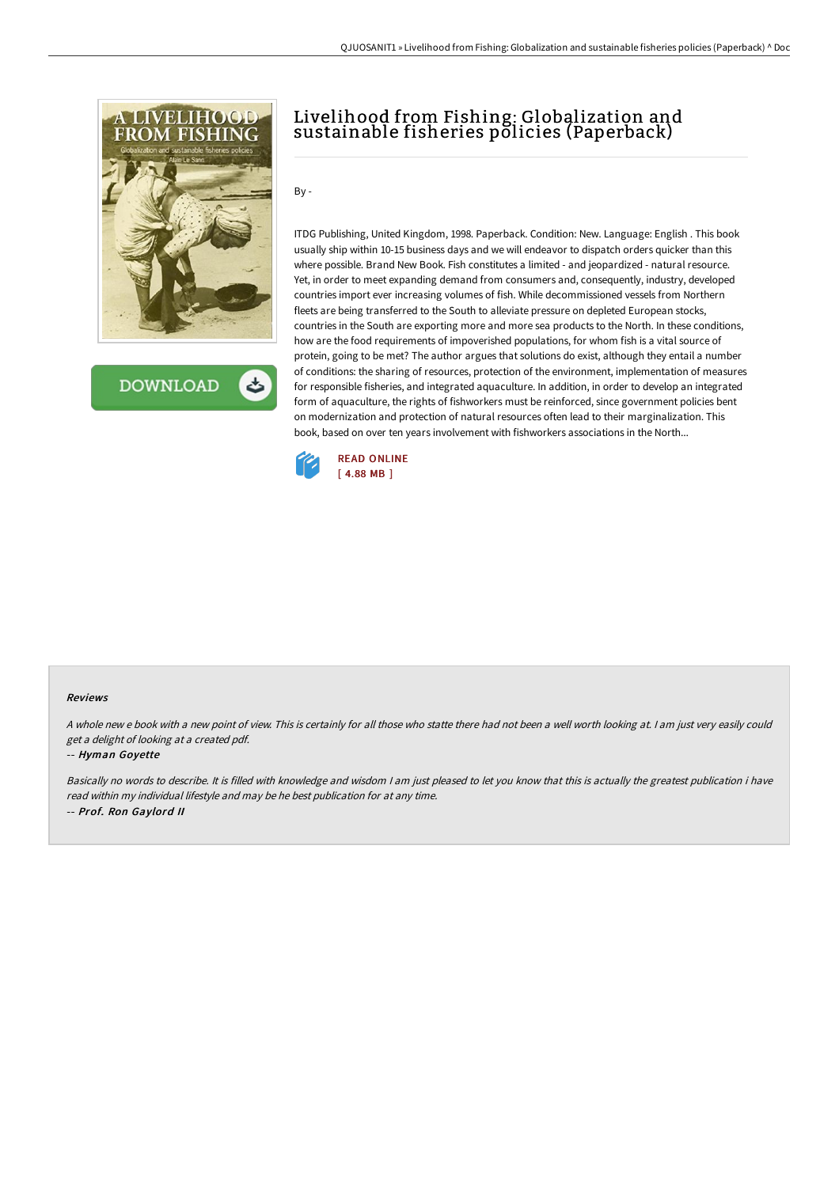

**DOWNLOAD** ٹ

## Livelihood from Fishing: Globalization and sustainable fisheries policies (Paperback)

By -

ITDG Publishing, United Kingdom, 1998. Paperback. Condition: New. Language: English . This book usually ship within 10-15 business days and we will endeavor to dispatch orders quicker than this where possible. Brand New Book. Fish constitutes a limited - and jeopardized - natural resource. Yet, in order to meet expanding demand from consumers and, consequently, industry, developed countries import ever increasing volumes of fish. While decommissioned vessels from Northern fleets are being transferred to the South to alleviate pressure on depleted European stocks, countries in the South are exporting more and more sea products to the North. In these conditions, how are the food requirements of impoverished populations, for whom fish is a vital source of protein, going to be met? The author argues that solutions do exist, although they entail a number of conditions: the sharing of resources, protection of the environment, implementation of measures for responsible fisheries, and integrated aquaculture. In addition, in order to develop an integrated form of aquaculture, the rights of fishworkers must be reinforced, since government policies bent on modernization and protection of natural resources often lead to their marginalization. This book, based on over ten years involvement with fishworkers associations in the North...



## Reviews

<sup>A</sup> whole new <sup>e</sup> book with <sup>a</sup> new point of view. This is certainly for all those who statte there had not been <sup>a</sup> well worth looking at. <sup>I</sup> am just very easily could get <sup>a</sup> delight of looking at <sup>a</sup> created pdf.

## -- Hyman Goyette

Basically no words to describe. It is filled with knowledge and wisdom <sup>I</sup> am just pleased to let you know that this is actually the greatest publication i have read within my individual lifestyle and may be he best publication for at any time. -- Prof. Ron Gaylord II